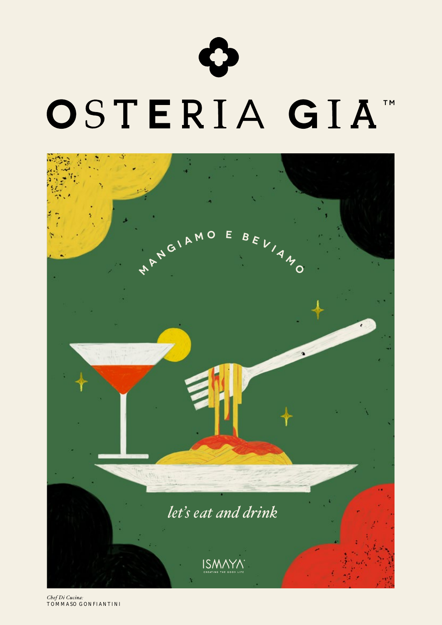



*Chef Di Cucina:* TOMMASO GONFIANTINI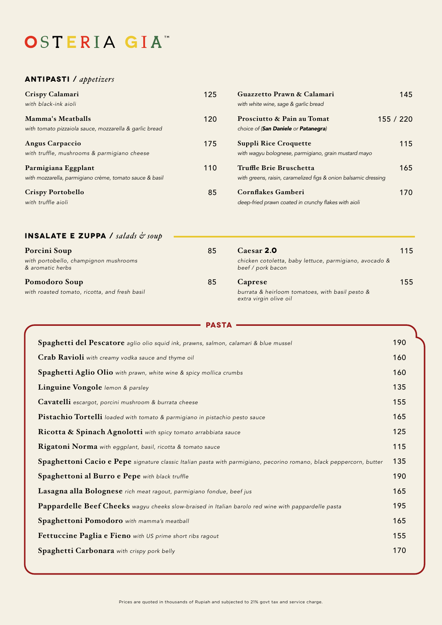# OSTERIA GIA"

## **ANTIPASTI** / *appetizers*

| Crispy Calamari<br>with black-ink aioli                                            | 125 | Guazzetto Prawn & Calamari<br>with white wine, sage & garlic bread                         | 145     |
|------------------------------------------------------------------------------------|-----|--------------------------------------------------------------------------------------------|---------|
| <b>Mamma's Meatballs</b><br>with tomato pizzaiola sauce, mozzarella & garlic bread | 120 | Prosciutto & Pain au Tomat<br>choice of (San Daniele or Patanegra)                         | 155/220 |
| Angus Carpaccio<br>with truffle, mushrooms & parmigiano cheese                     | 175 | <b>Suppli Rice Croquette</b><br>with wagyu bolognese, parmigiano, grain mustard mayo       | 115     |
| Parmigiana Eggplant<br>with mozzarella, parmigiano crème, tomato sauce & basil     | 110 | Truffle Brie Bruschetta<br>with greens, raisin, caramelized figs & onion balsamic dressing | 165     |
| <b>Crispy Portobello</b><br>with truffle aioli                                     | 85  | Cornflakes Gamberi<br>deep-fried prawn coated in crunchy flakes with aioli                 | 170.    |

| <b>INSALATE E ZUPPA</b> / salads $\phi$ soup              |    |                                                                             |     |
|-----------------------------------------------------------|----|-----------------------------------------------------------------------------|-----|
| Porcini Soup                                              | 85 | Caesar 2.0                                                                  | 115 |
| with portobello, champignon mushrooms<br>& aromatic herbs |    | chicken cotoletta, baby lettuce, parmigiano, avocado &<br>beef / pork bacon |     |
| Pomodoro Soup                                             | 85 | Caprese                                                                     | 155 |
| with roasted tomato, ricotta, and fresh basil             |    | burrata & heirloom tomatoes, with basil pesto &<br>extra virgin olive oil   |     |

**PASTA**

| <b>FASIA</b>                                                                                                        |     |  |
|---------------------------------------------------------------------------------------------------------------------|-----|--|
| Spaghetti del Pescatore aglio olio squid ink, prawns, salmon, calamari & blue mussel                                | 190 |  |
| Crab Ravioli with creamy vodka sauce and thyme oil                                                                  | 160 |  |
| Spaghetti Aglio Olio with prawn, white wine & spicy mollica crumbs                                                  | 160 |  |
| Linguine Vongole lemon & parsley                                                                                    | 135 |  |
| Cavatelli escargot, porcini mushroom & burrata cheese                                                               | 155 |  |
| Pistachio Tortelli loaded with tomato & parmigiano in pistachio pesto sauce                                         | 165 |  |
| Ricotta & Spinach Agnolotti with spicy tomato arrabbiata sauce                                                      | 125 |  |
| Rigatoni Norma with eggplant, basil, ricotta & tomato sauce                                                         | 115 |  |
| Spaghettoni Cacio e Pepe signature classic Italian pasta with parmigiano, pecorino romano, black peppercorn, butter | 135 |  |
| Spaghettoni al Burro e Pepe with black truffle                                                                      | 190 |  |
| Lasagna alla Bolognese rich meat ragout, parmigiano fondue, beef jus                                                | 165 |  |
| Pappardelle Beef Cheeks wagyu cheeks slow-braised in Italian barolo red wine with pappardelle pasta                 | 195 |  |
| Spaghettoni Pomodoro with mamma's meatball                                                                          | 165 |  |
| Fettuccine Paglia e Fieno with US prime short ribs ragout                                                           | 155 |  |
| Spaghetti Carbonara with crispy pork belly                                                                          | 170 |  |
|                                                                                                                     |     |  |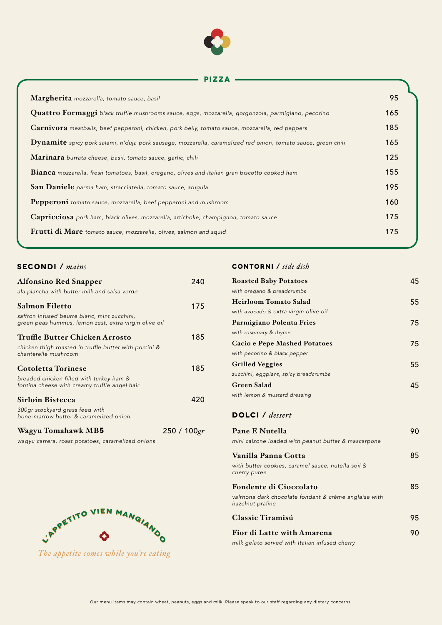

#### **PIZZA**

| Margherita mozzarella, tomato sauce, basil                                                                    | 95  |
|---------------------------------------------------------------------------------------------------------------|-----|
| Quattro Formaggi black truffle mushrooms sauce, eggs, mozzarella, gorgonzola, parmigiano, pecorino            | 165 |
| <b>Carnivora</b> meatballs, beef pepperoni, chicken, pork belly, tomato sauce, mozzarella, red peppers        | 185 |
| Dynamite spicy pork salami, n'duja pork sausage, mozzarella, caramelized red onion, tomato sauce, green chili | 165 |
| Marinara burrata cheese, basil, tomato sauce, garlic, chili                                                   | 125 |
| <b>Bianca</b> mozzarella, fresh tomatoes, basil, oregano, olives and Italian gran biscotto cooked ham         | 155 |
| San Daniele parma ham, stracciatella, tomato sauce, arugula                                                   | 195 |
| Pepperoni tomato sauce, mozzarella, beef pepperoni and mushroom                                               | 160 |
| Capricciosa pork ham, black olives, mozzarella, artichoke, champignon, tomato sauce                           | 175 |
| Frutti di Mare tomato sauce, mozzarella, olives, salmon and squid                                             | 175 |
|                                                                                                               |     |

### **Secondi** / *mains*

| <b>Alfonsino Red Snapper</b>                                                                          | 240            |
|-------------------------------------------------------------------------------------------------------|----------------|
| ala plancha with butter milk and salsa verde                                                          |                |
| Salmon Filetto                                                                                        | 175            |
| saffron infused beurre blanc, mint zucchini,<br>green peas hummus, lemon zest, extra virgin olive oil |                |
| Truffle Butter Chicken Arrosto                                                                        | 185            |
| chicken thigh roasted in truffle butter with porcini &<br>chanterelle mushroom                        |                |
| Cotoletta Torinese                                                                                    | 185            |
| breaded chicken filled with turkey ham &<br>fontina cheese with creamy truffle angel hair             |                |
| Sirloin Bistecca                                                                                      | 420            |
| 300gr stockyard grass feed with<br>bone-marrow butter & caramelized onion                             |                |
| Wagyu Tomahawk MB5                                                                                    | 250 / 100 $gr$ |

*wagyu carrera, roast potatoes, caramelized onions*



*The appetite comes while you're eating*

## **contorni** / *side dish*

| <b>Roasted Baby Potatoes</b>                                       | 45 |
|--------------------------------------------------------------------|----|
| with oregano & breadcrumbs                                         |    |
| <b>Heirloom Tomato Salad</b>                                       | 55 |
| with avocado & extra virgin olive oil                              |    |
| Parmigiano Polenta Fries                                           | 75 |
| with rosemary & thyme                                              |    |
| Cacio e Pepe Mashed Potatoes                                       | 75 |
| with pecorino & black pepper                                       |    |
| <b>Grilled Veggies</b>                                             | 55 |
| zucchini, eggplant, spicy breadcrumbs                              |    |
| Green Salad                                                        | 45 |
| with lemon & mustard dressing                                      |    |
| DOLCI / dessert                                                    |    |
| <b>Pane E Nutella</b>                                              | 90 |
| mini calzone loaded with peanut butter & mascarpone                |    |
| Vanilla Panna Cotta                                                | 85 |
| with butter cookies, caramel sauce, nutella soil &<br>cherry puree |    |
| Fondente di Cioccolato                                             | 85 |
|                                                                    |    |

*valrhona dark chocolate fondant & crème anglaise with hazelnut praline*

| Classic Tiramisú           | 95 |
|----------------------------|----|
| Fior di Latte with Amarena | 90 |

*milk gelato served with Italian infused cherry*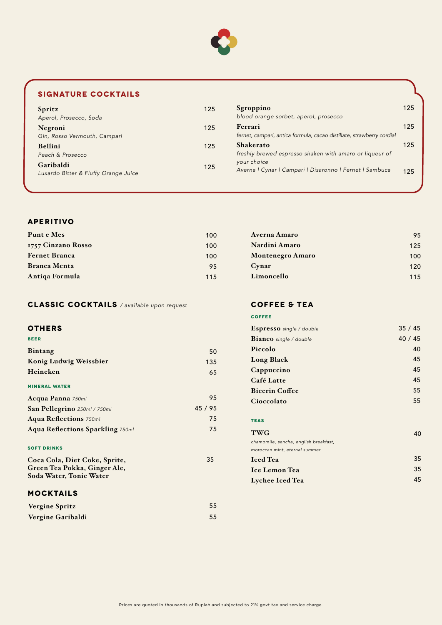

# **SIGNATURE COCKTAILS**

| Spritz                               | 125 | Sgroppino                                                             | 125 |
|--------------------------------------|-----|-----------------------------------------------------------------------|-----|
| Aperol, Prosecco, Soda               |     | blood orange sorbet, aperol, prosecco                                 |     |
| Negroni                              | 125 | Ferrari                                                               | 125 |
| Gin, Rosso Vermouth, Campari         |     | fernet, campari, antica formula, cacao distillate, strawberry cordial |     |
| <b>Bellini</b>                       | 125 | Shakerato                                                             | 125 |
| Peach & Prosecco                     |     | freshly brewed espresso shaken with amaro or liqueur of               |     |
| Garibaldi                            | 125 | your choice                                                           |     |
| Luxardo Bitter & Fluffy Orange Juice |     | Averna   Cynar   Campari   Disaronno   Fernet   Sambuca               | 125 |

### **APERITIVO**

| Punt e Mes           | 100 | Averna Amaro            | 95  |
|----------------------|-----|-------------------------|-----|
| 1757 Cinzano Rosso   | 100 | Nardini Amaro           | 125 |
| <b>Fernet Branca</b> | 100 | <b>Montenegro Amaro</b> | 100 |
| <b>Branca Menta</b>  | 95  | Cynar                   | 120 |
| Antiga Formula       | 115 | Limoncello              | 115 |

# **CLASSIC COCKTAILS** */ available upon request*

#### **OTHERS**

| <b>BEER</b>                             |         |
|-----------------------------------------|---------|
| Bintang                                 | 50      |
| Konig Ludwig Weissbier                  | 135     |
| Heineken                                | 65      |
| <b>MINERAL WATER</b>                    |         |
| Acqua Panna 750ml                       | 95      |
| San Pellegrino 250ml / 750ml            | 45 / 95 |
| <b>Aqua Reflections</b> 750ml           | 75      |
| <b>Aqua Reflections Sparkling 750ml</b> | 75      |
|                                         |         |

#### **SOFT DRINKS**

| Coca Cola, Diet Coke, Sprite, | 35 |
|-------------------------------|----|
| Green Tea Pokka, Ginger Ale,  |    |
| Soda Water, Tonic Water       |    |

## **MOCKTAILS**

| Vergine Spritz    | 55 |
|-------------------|----|
| Vergine Garibaldi | 55 |

#### **Coffee & tea**

**COFFEE**

| Espresso single / double              | 35/45 |
|---------------------------------------|-------|
| <b>Bianco</b> single / double         | 40/45 |
| Piccolo                               | 40    |
| Long Black                            | 45    |
| Cappuccino                            | 45    |
| Café Latte                            | 45    |
| <b>Bicerin Coffee</b>                 | 55    |
| Cioccolato                            | 55    |
|                                       |       |
| <b>TEAS</b>                           |       |
| <b>TWG</b>                            | 40    |
| chamomile, sencha, english breakfast, |       |
| moroccan mint, eternal summer         |       |
| <b>Iced</b> Tea                       | 35    |
| Ice Lemon Tea                         | 35    |
| Lychee Iced Tea                       | 45    |